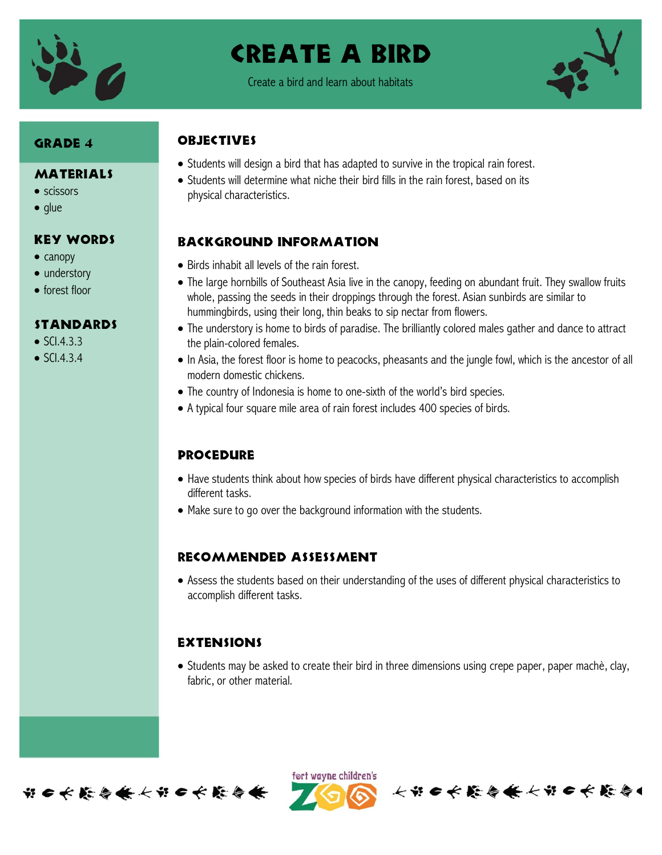

# Create A bird

Create a bird and learn about habitats



# Grade 4

#### MATERIALS

- scissors
- $\bullet$  glue

### Key Words

- $\bullet$  canopy
- understory
- forest floor

#### **STANDARDS**

- $\bullet$  SCI.4.3.3
- $\bullet$  SCI.4.3.4

# **OBJECTIVES**

- Students will design a bird that has adapted to survive in the tropical rain forest.
- Students will determine what niche their bird fills in the rain forest, based on its physical characteristics.

## Background information

- Birds inhabit all levels of the rain forest.
- The large hornbills of Southeast Asia live in the canopy, feeding on abundant fruit. They swallow fruits whole, passing the seeds in their droppings through the forest. Asian sunbirds are similar to hummingbirds, using their long, thin beaks to sip nectar from flowers.
- The understory is home to birds of paradise. The brilliantly colored males gather and dance to attract the plain-colored females.
- In Asia, the forest floor is home to peacocks, pheasants and the jungle fowl, which is the ancestor of all modern domestic chickens.
- The country of Indonesia is home to one-sixth of the world's bird species.
- A typical four square mile area of rain forest includes 400 species of birds.

#### **PROCEDURE**

- Have students think about how species of birds have different physical characteristics to accomplish different tasks.
- Make sure to go over the background information with the students.

#### Recommended assessment

 Assess the students based on their understanding of the uses of different physical characteristics to accomplish different tasks.

## **EXTENSIONS**

• Students may be asked to create their bird in three dimensions using crepe paper, paper machè, clay, fabric, or other material.



ført wayne children's

长节6长能与条长节6长能令